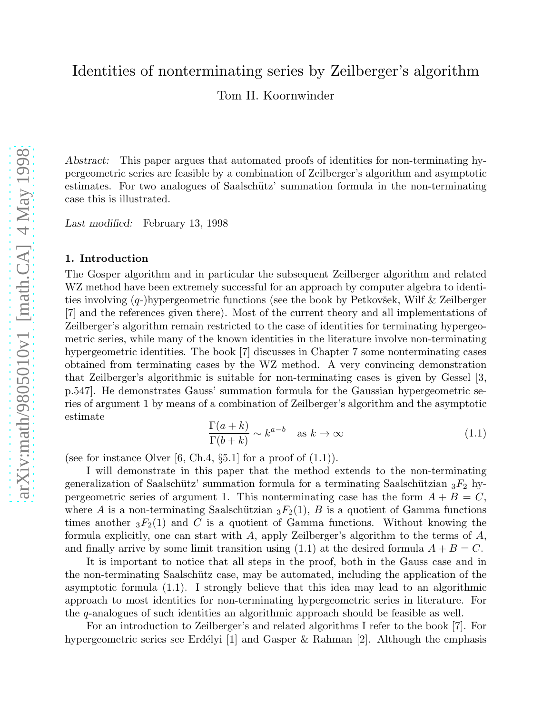# Identities of nonterminating series by Zeilberger's algorithm

Tom H. Koornwinder

Abstract: This paper argues that automated proofs of identities for non-terminating hypergeometric series are feasible by a combination of Zeilberger's algorithm and asymptotic estimates. For two analogues of Saalschütz' summation formula in the non-terminating case this is illustrated.

*Last modified:* February 13, 1998

#### 1. Introduction

The Gosper algorithm and in particular the subsequent Zeilberger algorithm and related WZ method have been extremely successful for an approach by computer algebra to identities involving  $(q-)$ hypergeometric functions (see the book by Petkovšek, Wilf & Zeilberger [7] and the references given there). Most of the current theory and all implementations of Zeilberger's algorithm remain restricted to the case of identities for terminating hypergeometric series, while many of the known identities in the literature involve non-terminating hypergeometric identities. The book [7] discusses in Chapter 7 some nonterminating cases obtained from terminating cases by the WZ method. A very convincing demonstration that Zeilberger's algorithmic is suitable for non-terminating cases is given by Gessel [3, p.547]. He demonstrates Gauss' summation formula for the Gaussian hypergeometric series of argument 1 by means of a combination of Zeilberger's algorithm and the asymptotic estimate

$$
\frac{\Gamma(a+k)}{\Gamma(b+k)} \sim k^{a-b} \quad \text{as } k \to \infty \tag{1.1}
$$

(see for instance Olver [6, Ch.4,  $\S5.1$ ] for a proof of  $(1.1)$ ).

I will demonstrate in this paper that the method extends to the non-terminating generalization of Saalschütz' summation formula for a terminating Saalschützian  ${}_{3}F_2$  hypergeometric series of argument 1. This nonterminating case has the form  $A + B = C$ , where A is a non-terminating Saalschützian  ${}_3F_2(1)$ , B is a quotient of Gamma functions times another  ${}_{3}F_{2}(1)$  and C is a quotient of Gamma functions. Without knowing the formula explicitly, one can start with  $A$ , apply Zeilberger's algorithm to the terms of  $A$ , and finally arrive by some limit transition using  $(1.1)$  at the desired formula  $A + B = C$ .

It is important to notice that all steps in the proof, both in the Gauss case and in the non-terminating Saalschütz case, may be automated, including the application of the asymptotic formula (1.1). I strongly believe that this idea may lead to an algorithmic approach to most identities for non-terminating hypergeometric series in literature. For the q-analogues of such identities an algorithmic approach should be feasible as well.

For an introduction to Zeilberger's and related algorithms I refer to the book [7]. For hypergeometric series see Erdélyi [1] and Gasper & Rahman [2]. Although the emphasis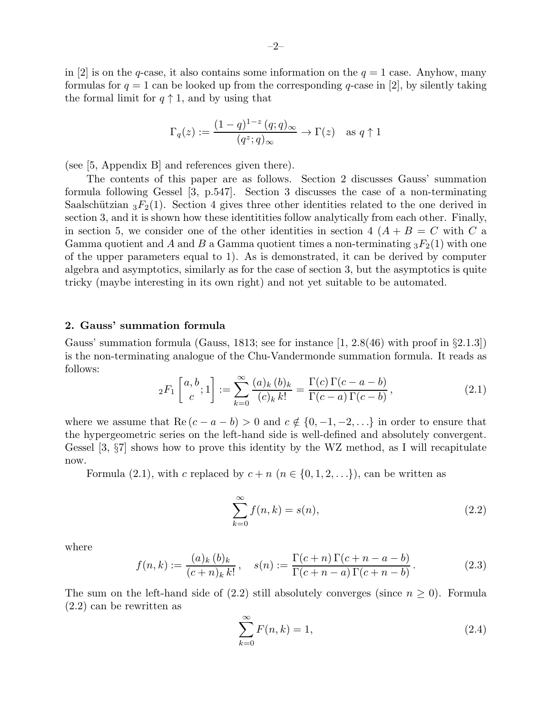in [2] is on the q-case, it also contains some information on the  $q = 1$  case. Anyhow, many formulas for  $q = 1$  can be looked up from the corresponding q-case in [2], by silently taking the formal limit for  $q \uparrow 1$ , and by using that

$$
\Gamma_q(z) := \frac{(1-q)^{1-z} (q;q)_{\infty}}{(q^z;q)_{\infty}} \to \Gamma(z) \quad \text{as } q \uparrow 1
$$

(see [5, Appendix B] and references given there).

The contents of this paper are as follows. Section 2 discusses Gauss' summation formula following Gessel [3, p.547]. Section 3 discusses the case of a non-terminating Saalschützian  ${}_{3}F_{2}(1)$ . Section 4 gives three other identities related to the one derived in section 3, and it is shown how these identitities follow analytically from each other. Finally, in section 5, we consider one of the other identities in section 4  $(A + B = C$  with C a Gamma quotient and A and B a Gamma quotient times a non-terminating  ${}_3F_2(1)$  with one of the upper parameters equal to 1). As is demonstrated, it can be derived by computer algebra and asymptotics, similarly as for the case of section 3, but the asymptotics is quite tricky (maybe interesting in its own right) and not yet suitable to be automated.

#### 2. Gauss' summation formula

Gauss' summation formula (Gauss, 1813; see for instance  $[1, 2.8(46)$  with proof in  $\S 2.1.3]$ ) is the non-terminating analogue of the Chu-Vandermonde summation formula. It reads as follows:

$$
{}_2F_1\left[ \begin{array}{c} a,b \\ c \end{array}; 1 \right] := \sum_{k=0}^{\infty} \frac{(a)_k (b)_k}{(c)_k k!} = \frac{\Gamma(c) \Gamma(c-a-b)}{\Gamma(c-a) \Gamma(c-b)}, \tag{2.1}
$$

where we assume that  $\text{Re}(c - a - b) > 0$  and  $c \notin \{0, -1, -2, \ldots\}$  in order to ensure that the hypergeometric series on the left-hand side is well-defined and absolutely convergent. Gessel [3, §7] shows how to prove this identity by the WZ method, as I will recapitulate now.

Formula (2.1), with c replaced by  $c + n$  ( $n \in \{0, 1, 2, \ldots\}$ ), can be written as

$$
\sum_{k=0}^{\infty} f(n,k) = s(n),\tag{2.2}
$$

where

$$
f(n,k) := \frac{(a)_k (b)_k}{(c+n)_k k!}, \quad s(n) := \frac{\Gamma(c+n)\Gamma(c+n-a-b)}{\Gamma(c+n-a)\Gamma(c+n-b)}.
$$
 (2.3)

The sum on the left-hand side of (2.2) still absolutely converges (since  $n \geq 0$ ). Formula (2.2) can be rewritten as

$$
\sum_{k=0}^{\infty} F(n,k) = 1,\tag{2.4}
$$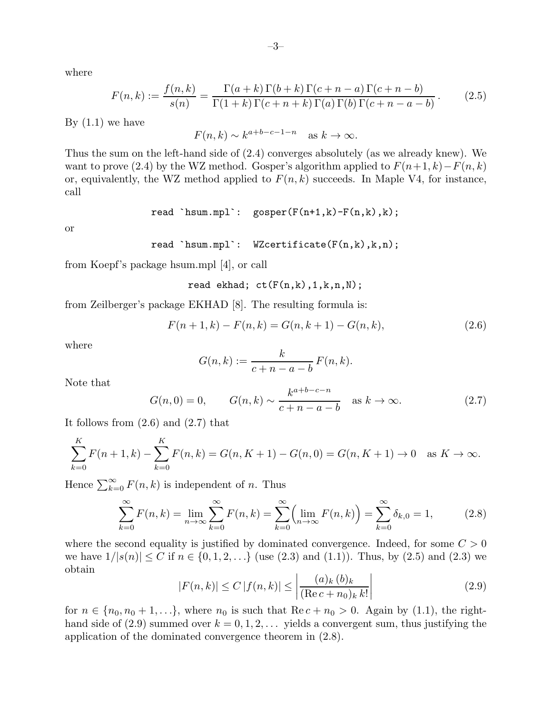where

$$
F(n,k) := \frac{f(n,k)}{s(n)} = \frac{\Gamma(a+k)\Gamma(b+k)\Gamma(c+n-a)\Gamma(c+n-b)}{\Gamma(1+k)\Gamma(c+n+k)\Gamma(a)\Gamma(b)\Gamma(c+n-a-b)}.
$$
 (2.5)

By  $(1.1)$  we have

$$
F(n,k) \sim k^{a+b-c-1-n}
$$
 as  $k \to \infty$ .

Thus the sum on the left-hand side of (2.4) converges absolutely (as we already knew). We want to prove (2.4) by the WZ method. Gosper's algorithm applied to  $F(n+1, k)-F(n, k)$ or, equivalently, the WZ method applied to  $F(n, k)$  succeeds. In Maple V4, for instance, call

$$
\verb"read 'hsum.mpl': gosper(F(n+1,k)-F(n,k),k);
$$

or

$$
\verb"read 'hsum.mpl': WZcertifice(F(n,k),k,n);
$$

from Koepf's package hsum.mpl [4], or call

$$
\verb"read ekhad; ct(F(n,k),1,k,n,N);
$$

from Zeilberger's package EKHAD [8]. The resulting formula is:

$$
F(n+1,k) - F(n,k) = G(n,k+1) - G(n,k),
$$
\n(2.6)

where

$$
G(n,k) := \frac{k}{c+n-a-b} F(n,k).
$$

Note that

$$
G(n, 0) = 0,
$$
  $G(n, k) \sim \frac{k^{a+b-c-n}}{c+n-a-b}$  as  $k \to \infty.$  (2.7)

It follows from (2.6) and (2.7) that

$$
\sum_{k=0}^{K} F(n+1,k) - \sum_{k=0}^{K} F(n,k) = G(n, K+1) - G(n, 0) = G(n, K+1) \to 0 \quad \text{as } K \to \infty.
$$

Hence  $\sum_{k=0}^{\infty} F(n, k)$  is independent of n. Thus

$$
\sum_{k=0}^{\infty} F(n,k) = \lim_{n \to \infty} \sum_{k=0}^{\infty} F(n,k) = \sum_{k=0}^{\infty} \left( \lim_{n \to \infty} F(n,k) \right) = \sum_{k=0}^{\infty} \delta_{k,0} = 1,
$$
 (2.8)

where the second equality is justified by dominated convergence. Indeed, for some  $C > 0$ we have  $1/|s(n)| \le C$  if  $n \in \{0, 1, 2, ...\}$  (use  $(2.3)$  and  $(1.1)$ ). Thus, by  $(2.5)$  and  $(2.3)$  we obtain

$$
|F(n,k)| \le C |f(n,k)| \le \left| \frac{(a)_k (b)_k}{(\text{Re } c + n_0)_k k!} \right| \tag{2.9}
$$

for  $n \in \{n_0, n_0 + 1, \ldots\}$ , where  $n_0$  is such that  $\text{Re } c + n_0 > 0$ . Again by (1.1), the righthand side of (2.9) summed over  $k = 0, 1, 2, \ldots$  yields a convergent sum, thus justifying the application of the dominated convergence theorem in (2.8).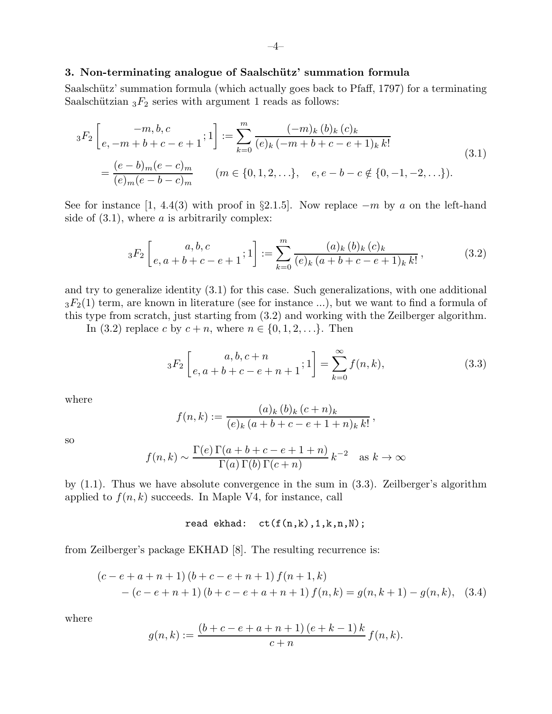## 3. Non-terminating analogue of Saalschütz' summation formula

Saalschütz' summation formula (which actually goes back to Pfaff, 1797) for a terminating Saalschützian  ${}_{3}F_2$  series with argument 1 reads as follows:

$$
{}_{3}F_{2}\left[\begin{matrix} -m,b,c\\ e,-m+b+c-e+1 \end{matrix};1\right] := \sum_{k=0}^{m} \frac{(-m)_{k}(b)_{k}(c)_{k}}{(e)_{k}(-m+b+c-e+1)_{k}k!}
$$
  

$$
= \frac{(e-b)_{m}(e-c)_{m}}{(e)_{m}(e-b-c)_{m}} \qquad (m \in \{0,1,2,...\}, e, e-b-c \notin \{0,-1,-2,...\}).
$$
  
(3.1)

See for instance [1, 4.4(3) with proof in §2.1.5]. Now replace  $-m$  by a on the left-hand side of  $(3.1)$ , where a is arbitrarily complex:

$$
{}_3F_2\left[e, a+b+c-e+1; 1\right] := \sum_{k=0}^m \frac{(a)_k (b)_k (c)_k}{(e)_k (a+b+c-e+1)_k k!},
$$
(3.2)

and try to generalize identity (3.1) for this case. Such generalizations, with one additional  $3F_2(1)$  term, are known in literature (see for instance ...), but we want to find a formula of this type from scratch, just starting from (3.2) and working with the Zeilberger algorithm.

In (3.2) replace c by  $c + n$ , where  $n \in \{0, 1, 2, \ldots\}$ . Then

$$
{}_{3}F_{2}\left[e,a+b+c-e+n+1;1\right] = \sum_{k=0}^{\infty} f(n,k), \tag{3.3}
$$

where

$$
f(n,k) := \frac{(a)_k (b)_k (c+n)_k}{(e)_k (a+b+c-e+1+n)_k k!},
$$

so

$$
f(n,k) \sim \frac{\Gamma(e)\Gamma(a+b+c-e+1+n)}{\Gamma(a)\Gamma(b)\Gamma(c+n)} k^{-2}
$$
 as  $k \to \infty$ 

by (1.1). Thus we have absolute convergence in the sum in (3.3). Zeilberger's algorithm applied to  $f(n, k)$  succeeds. In Maple V4, for instance, call

read ekhad:  $ct(f(n,k),1,k,n,N);$ 

from Zeilberger's package EKHAD [8]. The resulting recurrence is:

$$
(c - e + a + n + 1) (b + c - e + n + 1) f(n + 1, k)
$$
  
-(c - e + n + 1) (b + c - e + a + n + 1) f(n, k) = g(n, k + 1) - g(n, k), (3.4)

where

$$
g(n,k) := \frac{(b+c-e+a+n+1)(e+k-1)k}{c+n} f(n,k).
$$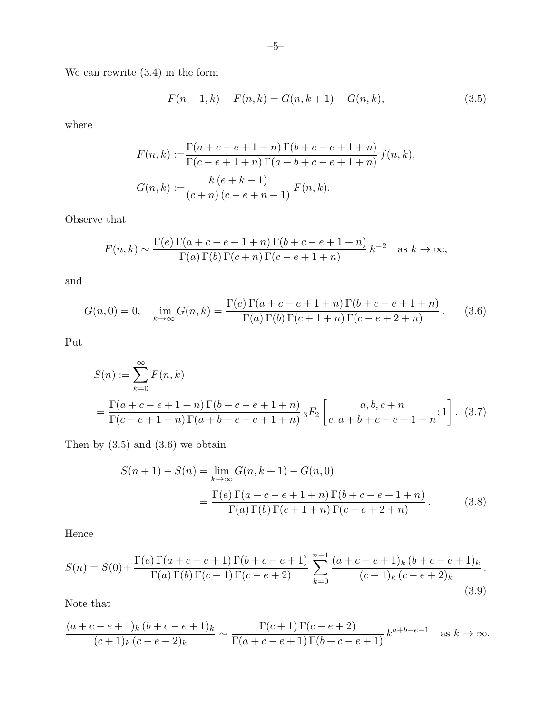We can rewrite (3.4) in the form

$$
F(n+1,k) - F(n,k) = G(n,k+1) - G(n,k),
$$
\n(3.5)

where

$$
F(n,k) := \frac{\Gamma(a+c-e+1+n) \Gamma(b+c-e+1+n)}{\Gamma(c-e+1+n) \Gamma(a+b+c-e+1+n)} f(n,k),
$$
  

$$
G(n,k) := \frac{k(e+k-1)}{(c+n) (c-e+n+1)} F(n,k).
$$

Observe that

$$
F(n,k) \sim \frac{\Gamma(e)\,\Gamma(a+c-e+1+n)\,\Gamma(b+c-e+1+n)}{\Gamma(a)\,\Gamma(b)\,\Gamma(c+n)\,\Gamma(c-e+1+n)}\,k^{-2} \quad \text{as } k \to \infty,
$$

and

$$
G(n,0) = 0, \quad \lim_{k \to \infty} G(n,k) = \frac{\Gamma(e)\,\Gamma(a+c-e+1+n)\,\Gamma(b+c-e+1+n)}{\Gamma(a)\,\Gamma(b)\,\Gamma(c+1+n)\,\Gamma(c-e+2+n)}.
$$
 (3.6)

Put

$$
S(n) := \sum_{k=0}^{\infty} F(n,k)
$$
  
= 
$$
\frac{\Gamma(a+c-e+1+n) \Gamma(b+c-e+1+n)}{\Gamma(c-e+1+n) \Gamma(a+b+c-e+1+n)} {}_3F_2 \left[ \begin{array}{c} a,b,c+n \\ e,a+b+c-e+1+n \end{array}; 1 \right].
$$
 (3.7)

Then by  $(3.5)$  and  $(3.6)$  we obtain

$$
S(n+1) - S(n) = \lim_{k \to \infty} G(n, k+1) - G(n, 0)
$$
  
= 
$$
\frac{\Gamma(e) \Gamma(a + c - e + 1 + n) \Gamma(b + c - e + 1 + n)}{\Gamma(a) \Gamma(b) \Gamma(c + 1 + n) \Gamma(c - e + 2 + n)}.
$$
 (3.8)

Hence

$$
S(n) = S(0) + \frac{\Gamma(e)\Gamma(a+c-e+1)\Gamma(b+c-e+1)}{\Gamma(a)\Gamma(b)\Gamma(c+1)\Gamma(c-e+2)} \sum_{k=0}^{n-1} \frac{(a+c-e+1)_k(b+c-e+1)_k}{(c+1)_k(c-e+2)_k}.
$$
\n(3.9)

Note that

$$
\frac{(a+c-e+1)_k (b+c-e+1)_k}{(c+1)_k (c-e+2)_k} \sim \frac{\Gamma(c+1)\Gamma(c-e+2)}{\Gamma(a+c-e+1)\Gamma(b+c-e+1)} k^{a+b-e-1} \text{ as } k \to \infty.
$$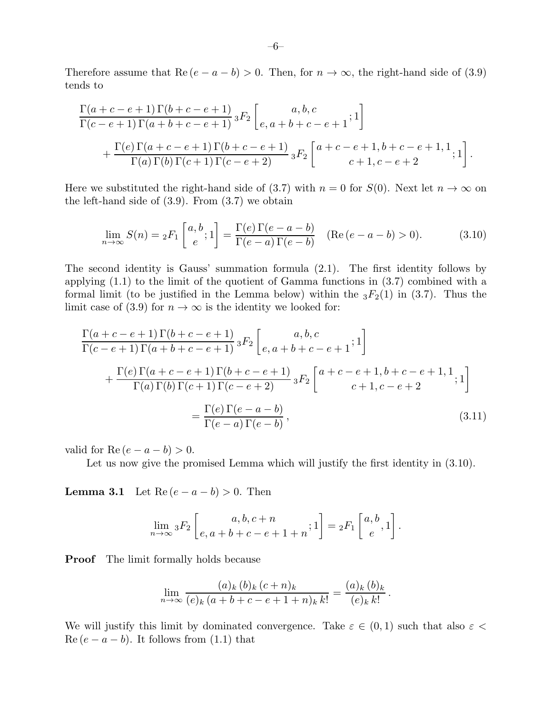Therefore assume that  $\text{Re}(e - a - b) > 0$ . Then, for  $n \to \infty$ , the right-hand side of (3.9) tends to

$$
\frac{\Gamma(a+c-e+1)\Gamma(b+c-e+1)}{\Gamma(c-e+1)\Gamma(a+b+c-e+1)} {}_3F_2\n\left[ \begin{matrix} a,b,c \ e,a+b+c-e+1 \end{matrix};1 \right] \n+ \frac{\Gamma(e)\Gamma(a+c-e+1)\Gamma(b+c-e+1)}{\Gamma(a)\Gamma(b)\Gamma(c+1)\Gamma(c-e+2)} {}_3F_2\n\left[ \begin{matrix} a+c-e+1,b+c-e+1,1 \ c+1,c-e+2 \end{matrix};1 \right].
$$

Here we substituted the right-hand side of (3.7) with  $n = 0$  for  $S(0)$ . Next let  $n \to \infty$  on the left-hand side of (3.9). From (3.7) we obtain

$$
\lim_{n \to \infty} S(n) = {}_2F_1\left[\begin{array}{c} a, b \\ e \end{array}; 1\right] = \frac{\Gamma(e)\,\Gamma(e-a-b)}{\Gamma(e-a)\,\Gamma(e-b)} \quad (\text{Re}\,(e-a-b) > 0). \tag{3.10}
$$

The second identity is Gauss' summation formula (2.1). The first identity follows by applying (1.1) to the limit of the quotient of Gamma functions in (3.7) combined with a formal limit (to be justified in the Lemma below) within the  $_3F_2(1)$  in (3.7). Thus the limit case of (3.9) for  $n \to \infty$  is the identity we looked for:

$$
\frac{\Gamma(a+c-e+1)\Gamma(b+c-e+1)}{\Gamma(c-e+1)\Gamma(a+b+c-e+1)} {}_3F_2\n\left[ e, a+b+c-e+1; 1 \right] \n+ \frac{\Gamma(e)\Gamma(a+c-e+1)\Gamma(b+c-e+1)}{\Gamma(a)\Gamma(b)\Gamma(c+1)\Gamma(c-e+2)} {}_3F_2\n\left[ \n\begin{array}{c} a+c-e+1, b+c-e+1, 1 \ c+1, c-e+2 \end{array}; 1 \right] \n= \frac{\Gamma(e)\Gamma(e-a-b)}{\Gamma(e-a)\Gamma(e-b)},
$$
\n(3.11)

valid for Re  $(e - a - b) > 0$ .

Let us now give the promised Lemma which will justify the first identity in  $(3.10)$ .

**Lemma 3.1** Let  $\text{Re}(e - a - b) > 0$ . Then

$$
\lim_{n \to \infty} {}_{3}F_{2}\left[e, a+b+c-e+1+n; 1\right] = {}_{2}F_{1}\left[e, a\right].
$$

**Proof** The limit formally holds because

$$
\lim_{n \to \infty} \frac{(a)_k (b)_k (c+n)_k}{(e)_k (a+b+c-e+1+n)_k k!} = \frac{(a)_k (b)_k}{(e)_k k!}
$$

.

We will justify this limit by dominated convergence. Take  $\varepsilon \in (0,1)$  such that also  $\varepsilon$  <  $\text{Re}(e - a - b)$ . It follows from (1.1) that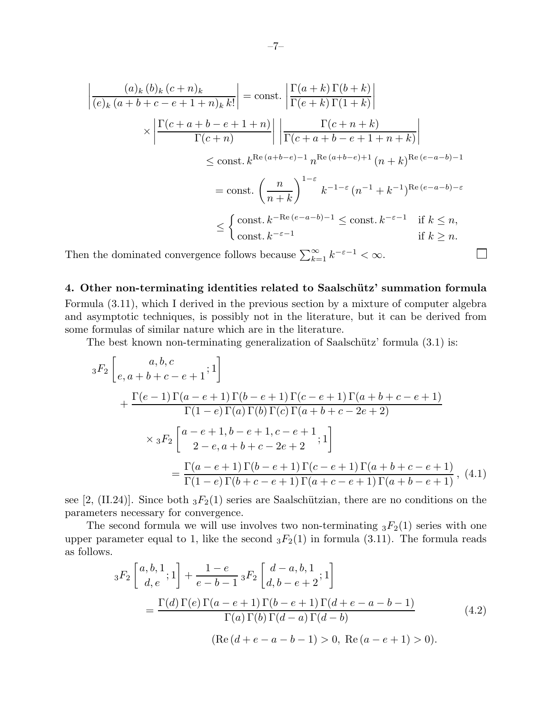$$
\left| \frac{(a)_k (b)_k (c+n)_k}{(e)_k (a+b+c-e+1+n)_k k!} \right| = \text{const.} \left| \frac{\Gamma(a+k) \Gamma(b+k)}{\Gamma(e+k) \Gamma(1+k)} \right|
$$
  

$$
\times \left| \frac{\Gamma(c+a+b-e+1+n)}{\Gamma(c+n)} \right| \left| \frac{\Gamma(c+n+k)}{\Gamma(c+a+b-e+1+n+k)} \right|
$$
  

$$
\leq \text{const.} k^{\text{Re}(a+b-e)-1} n^{\text{Re}(a+b-e)+1} (n+k)^{\text{Re}(e-a-b)-1}
$$
  

$$
= \text{const.} \left( \frac{n}{n+k} \right)^{1-\varepsilon} k^{-1-\varepsilon} (n^{-1}+k^{-1})^{\text{Re}(e-a-b)-\varepsilon}
$$
  

$$
\leq \begin{cases} \text{const.} \ k^{-\text{Re}(e-a-b)-1} \leq \text{const.} \ k^{-\varepsilon-1} & \text{if } k \leq n, \\ \text{const.} \ k^{-\varepsilon-1} & \text{if } k \geq n. \end{cases}
$$

Then the dominated convergence follows because  $\sum_{k=1}^{\infty} k^{-\varepsilon-1} < \infty$ .

## 4. Other non-terminating identities related to Saalschütz' summation formula

 $\Box$ 

Formula (3.11), which I derived in the previous section by a mixture of computer algebra and asymptotic techniques, is possibly not in the literature, but it can be derived from some formulas of similar nature which are in the literature.

The best known non-terminating generalization of Saalschütz' formula  $(3.1)$  is:

$$
{}_{3}F_{2}\left[e,a+b+c-e+1;1\right]
$$
  
+
$$
\frac{\Gamma(e-1)\Gamma(a-e+1)\Gamma(b-e+1)\Gamma(c-e+1)\Gamma(a+b+c-e+1)}{\Gamma(1-e)\Gamma(a)\Gamma(b)\Gamma(c)\Gamma(a+b+c-2e+2)}
$$
  

$$
\times {}_{3}F_{2}\left[a-e+1,b-e+1,c-e+1;1\atop 2-e,a+b+c-2e+2;1\right]
$$
  
=
$$
\frac{\Gamma(a-e+1)\Gamma(b-e+1)\Gamma(c-e+1)\Gamma(a+b+c-e+1)}{\Gamma(1-e)\Gamma(b+c-e+1)\Gamma(a+c-e+1)\Gamma(a+b-e+1)} , (4.1)
$$

see [2, (II.24)]. Since both  ${}_3F_2(1)$  series are Saalschützian, there are no conditions on the parameters necessary for convergence.

The second formula we will use involves two non-terminating  ${}_{3}F_{2}(1)$  series with one upper parameter equal to 1, like the second  ${}_3F_2(1)$  in formula (3.11). The formula reads as follows.

$$
{}_{3}F_{2}\left[\begin{array}{c} a,b,1 \\ d,e \end{array};1\right] + \frac{1-e}{e-b-1} {}_{3}F_{2}\left[\begin{array}{c} d-a,b,1 \\ d,b-e+2 \end{array};1\right] = \frac{\Gamma(d)\Gamma(e)\Gamma(a-e+1)\Gamma(b-e+1)\Gamma(d+e-a-b-1)}{\Gamma(a)\Gamma(b)\Gamma(d-a)\Gamma(d-b)} \tag{4.2}
$$
  
=  $(\text{Re}(d+e-a-b-1) > 0, \text{Re}(a-e+1) > 0).$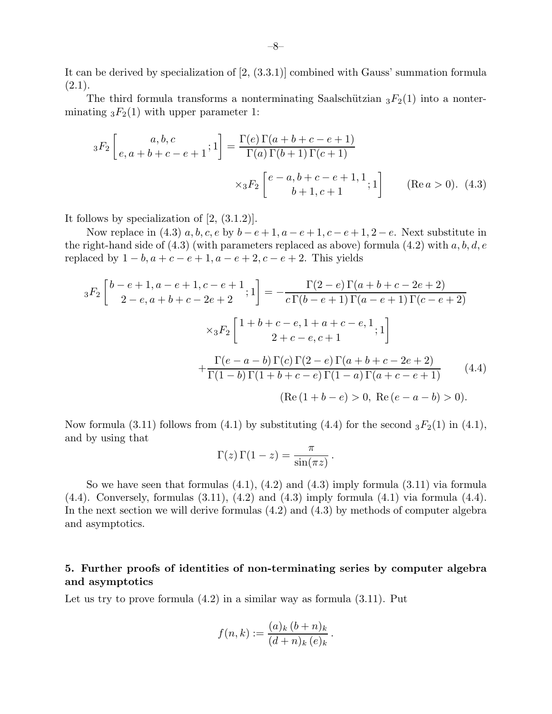It can be derived by specialization of [2, (3.3.1)] combined with Gauss' summation formula  $(2.1).$ 

The third formula transforms a nonterminating Saalschützian  ${}_{3}F_{2}(1)$  into a nonterminating  ${}_{3}F_{2}(1)$  with upper parameter 1:

$$
{}_{3}F_{2}\left[e,a+b+c-e+1;1\right] = \frac{\Gamma(e)\Gamma(a+b+c-e+1)}{\Gamma(a)\Gamma(b+1)\Gamma(c+1)}
$$
  
 
$$
\times {}_{3}F_{2}\left[\begin{matrix}e-a,b+c-e+1,1\\b+1,c+1\end{matrix};1\right]
$$
 (Re  $a > 0$ ). (4.3)

It follows by specialization of [2, (3.1.2)].

Now replace in (4.3)  $a, b, c, e$  by  $b - e + 1, a - e + 1, c - e + 1, 2 - e$ . Next substitute in the right-hand side of  $(4.3)$  (with parameters replaced as above) formula  $(4.2)$  with  $a, b, d, e$ replaced by  $1 - b$ ,  $a + c - e + 1$ ,  $a - e + 2$ ,  $c - e + 2$ . This yields

$$
{}_{3}F_{2}\left[\begin{array}{c}b-e+1,a-e+1,c-e+1\\2-e,a+b+c-2e+2\end{array};1\right] = -\frac{\Gamma(2-e)\Gamma(a+b+c-2e+2)}{c\Gamma(b-e+1)\Gamma(a-e+1)\Gamma(c-e+2)}
$$

$$
\times {}_{3}F_{2}\left[\begin{array}{c}1+b+c-e,1+a+c-e,1\\2+c-e,c+1\end{array};1\right]
$$

$$
+\frac{\Gamma(e-a-b)\Gamma(c)\Gamma(2-e)\Gamma(a+b+c-2e+2)}{\Gamma(1-b)\Gamma(1+b+c-e)\Gamma(1-a)\Gamma(a+c-e+1)}\qquad(4.4)
$$

$$
(\text{Re}\,(1+b-e) > 0, \text{ Re}\,(e-a-b) > 0).
$$

Now formula (3.11) follows from (4.1) by substituting (4.4) for the second  ${}_3F_2(1)$  in (4.1), and by using that

$$
\Gamma(z)\,\Gamma(1-z) = \frac{\pi}{\sin(\pi z)}\,.
$$

So we have seen that formulas  $(4.1)$ ,  $(4.2)$  and  $(4.3)$  imply formula  $(3.11)$  via formula  $(4.4)$ . Conversely, formulas  $(3.11)$ ,  $(4.2)$  and  $(4.3)$  imply formula  $(4.1)$  via formula  $(4.4)$ . In the next section we will derive formulas (4.2) and (4.3) by methods of computer algebra and asymptotics.

# 5. Further proofs of identities of non-terminating series by computer algebra and asymptotics

Let us try to prove formula  $(4.2)$  in a similar way as formula  $(3.11)$ . Put

$$
f(n,k) := \frac{(a)_k (b+n)_k}{(d+n)_k (e)_k}.
$$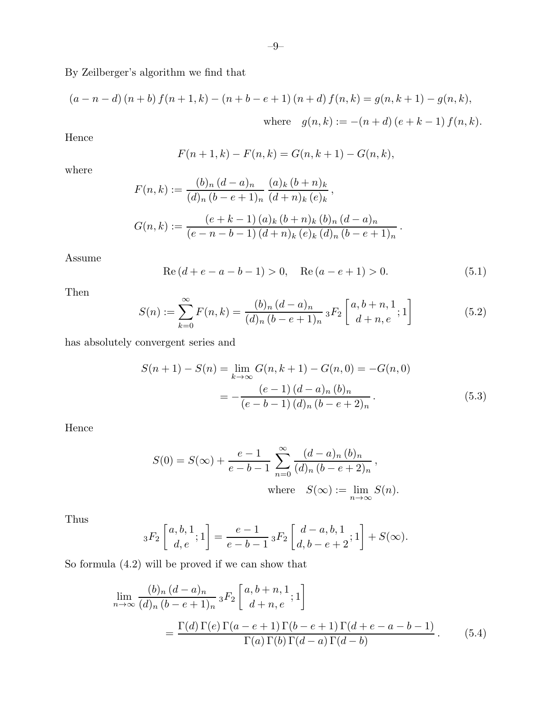By Zeilberger's algorithm we find that

$$
(a - n - d) (n + b) f(n + 1, k) - (n + b - e + 1) (n + d) f(n, k) = g(n, k + 1) - g(n, k),
$$
  
where  $g(n, k) := -(n + d) (e + k - 1) f(n, k).$ 

Hence

$$
F(n + 1, k) - F(n, k) = G(n, k + 1) - G(n, k),
$$

where

$$
F(n,k) := \frac{(b)_n (d-a)_n (a)_k (b+n)_k}{(d)_n (b-e+1)_n (d+n)_k (e)_k},
$$
  

$$
G(n,k) := \frac{(e+k-1) (a)_k (b+n)_k (b)_n (d-a)_n}{(e-n-b-1) (d+n)_k (e)_k (d)_n (b-e+1)_n}.
$$

Assume

$$
Re (d + e - a - b - 1) > 0, \quad Re (a - e + 1) > 0.
$$
 (5.1)

Then

$$
S(n) := \sum_{k=0}^{\infty} F(n,k) = \frac{(b)_n (d-a)_n}{(d)_n (b-e+1)_n} {}_3F_2\left[\begin{array}{c} a, b+n, 1\\d+n, e \end{array}; 1\right]
$$
(5.2)

has absolutely convergent series and

$$
S(n+1) - S(n) = \lim_{k \to \infty} G(n, k+1) - G(n, 0) = -G(n, 0)
$$

$$
= -\frac{(e-1)(d-a)_n (b)_n}{(e-b-1) (d)_n (b-e+2)_n}.
$$
(5.3)

Hence

$$
S(0) = S(\infty) + \frac{e - 1}{e - b - 1} \sum_{n=0}^{\infty} \frac{(d - a)_n (b)_n}{(d)_n (b - e + 2)_n},
$$
  
where  $S(\infty) := \lim_{n \to \infty} S(n)$ .

Thus

$$
{}_3F_2\left[\begin{array}{c} a,b,1 \\ d,e \end{array};1\right] = \frac{e-1}{e-b-1} {}_3F_2\left[\begin{array}{c} d-a,b,1 \\ d,b-e+2 \end{array};1\right] + S(\infty).
$$

So formula (4.2) will be proved if we can show that

$$
\lim_{n \to \infty} \frac{(b)_n (d-a)_n}{(d)_n (b-e+1)_n} {}_3F_2 \left[ \begin{array}{c} a, b+n, 1 \\ d+n, e \end{array}; 1 \right]
$$
\n
$$
= \frac{\Gamma(d) \Gamma(e) \Gamma(a-e+1) \Gamma(b-e+1) \Gamma(d+e-a-b-1)}{\Gamma(a) \Gamma(b) \Gamma(d-a) \Gamma(d-b)}.
$$
\n(5.4)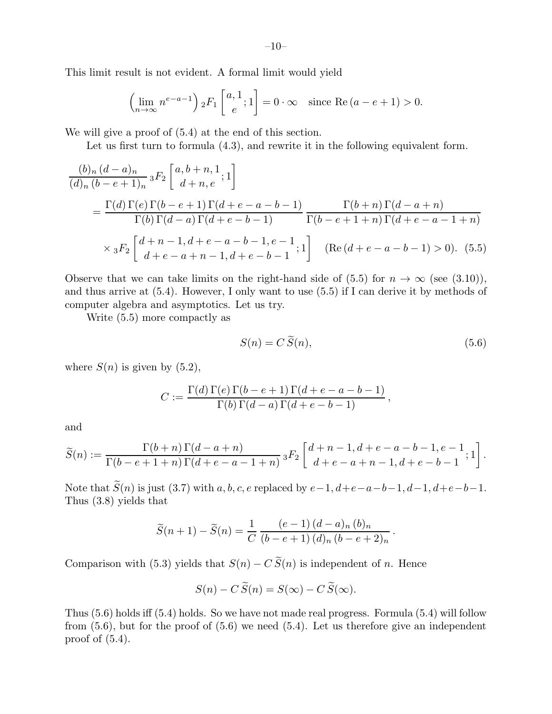This limit result is not evident. A formal limit would yield

$$
\left(\lim_{n\to\infty} n^{e-a-1}\right) {}_2F_1\left[ \begin{array}{c} a,1\\e \end{array}; 1 \right] = 0 \cdot \infty \quad \text{since } \text{Re}\left(a-e+1\right) > 0.
$$

We will give a proof of (5.4) at the end of this section.

Let us first turn to formula  $(4.3)$ , and rewrite it in the following equivalent form.

$$
\frac{(b)_n (d-a)_n}{(d)_n (b-e+1)_n} {}_3F_2 \left[ \begin{array}{c} a, b+n, 1 \\ d+n, e \end{array}; 1 \right]
$$
\n
$$
= \frac{\Gamma(d) \Gamma(e) \Gamma(b-e+1) \Gamma(d+e-a-b-1)}{\Gamma(b) \Gamma(d-a) \Gamma(d+e-b-1)} \frac{\Gamma(b+n) \Gamma(d-a+n)}{\Gamma(b-e+1+n) \Gamma(d+e-a-1+n)}
$$
\n
$$
\times {}_3F_2 \left[ \begin{array}{c} d+n-1, d+e-a-b-1, e-1 \\ d+e-a+n-1, d+e-b-1 \end{array}; 1 \right] \quad (\text{Re}(d+e-a-b-1) > 0). \tag{5.5}
$$

Observe that we can take limits on the right-hand side of (5.5) for  $n \to \infty$  (see (3.10)), and thus arrive at (5.4). However, I only want to use (5.5) if I can derive it by methods of computer algebra and asymptotics. Let us try.

Write (5.5) more compactly as

$$
S(n) = C \widetilde{S}(n),\tag{5.6}
$$

.

where  $S(n)$  is given by  $(5.2)$ ,

$$
C := \frac{\Gamma(d) \Gamma(e) \Gamma(b - e + 1) \Gamma(d + e - a - b - 1)}{\Gamma(b) \Gamma(d - a) \Gamma(d + e - b - 1)},
$$

and

$$
\widetilde{S}(n) := \frac{\Gamma(b+n)\Gamma(d-a+n)}{\Gamma(b-e+1+n)\Gamma(d+e-a-1+n)} \, {}_3F_2\left[\begin{array}{c} d+n-1, d+e-a-b-1, e-1 \\ d+e-a+n-1, d+e-b-1 \end{array}; 1\right].
$$

Note that  $\widetilde{S}(n)$  is just (3.7) with a, b, c, e replaced by  $e-1$ ,  $d+e-a-b-1$ ,  $d-1$ ,  $d+e-b-1$ . Thus (3.8) yields that

$$
\widetilde{S}(n+1) - \widetilde{S}(n) = \frac{1}{C} \frac{(e-1)(d-a)_n (b)_n}{(b-e+1) (d)_n (b-e+2)_n}
$$

Comparison with (5.3) yields that  $S(n) - C \widetilde{S}(n)$  is independent of n. Hence

$$
S(n) - C\widetilde{S}(n) = S(\infty) - C\widetilde{S}(\infty).
$$

Thus (5.6) holds iff (5.4) holds. So we have not made real progress. Formula (5.4) will follow from  $(5.6)$ , but for the proof of  $(5.6)$  we need  $(5.4)$ . Let us therefore give an independent proof of (5.4).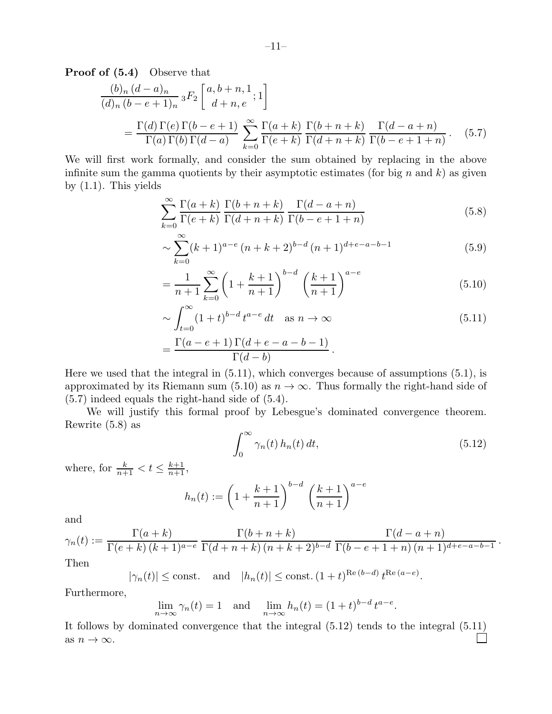Proof of  $(5.4)$  Observe that

$$
\frac{(b)_n (d-a)_n}{(d)_n (b-e+1)_n} {}_3F_2\n\left[\n\begin{array}{c} a, b+n, 1 \\ d+n, e \end{array}; 1\n\right]
$$
\n
$$
= \frac{\Gamma(d) \Gamma(e) \Gamma(b-e+1)}{\Gamma(a) \Gamma(b) \Gamma(d-a)} \sum_{k=0}^{\infty} \frac{\Gamma(a+k)}{\Gamma(e+k)} \frac{\Gamma(b+n+k)}{\Gamma(d+n+k)} \frac{\Gamma(d-a+n)}{\Gamma(b-e+1+n)}.
$$
\n(5.7)

We will first work formally, and consider the sum obtained by replacing in the above infinite sum the gamma quotients by their asymptotic estimates (for big  $n$  and  $k$ ) as given by  $(1.1)$ . This yields

$$
\sum_{k=0}^{\infty} \frac{\Gamma(a+k)}{\Gamma(e+k)} \frac{\Gamma(b+n+k)}{\Gamma(d+n+k)} \frac{\Gamma(d-a+n)}{\Gamma(b-e+1+n)}
$$
(5.8)

$$
\sim \sum_{k=0}^{\infty} (k+1)^{a-e} (n+k+2)^{b-d} (n+1)^{d+e-a-b-1}
$$
\n(5.9)

$$
= \frac{1}{n+1} \sum_{k=0}^{\infty} \left( 1 + \frac{k+1}{n+1} \right)^{b-d} \left( \frac{k+1}{n+1} \right)^{a-e} \tag{5.10}
$$

$$
\sim \int_{t=0}^{\infty} (1+t)^{b-d} t^{a-e} dt \quad \text{as } n \to \infty \tag{5.11}
$$

$$
=\frac{\Gamma(a-e+1)\,\Gamma(d+e-a-b-1)}{\Gamma(d-b)}\,.
$$

Here we used that the integral in (5.11), which converges because of assumptions (5.1), is approximated by its Riemann sum (5.10) as  $n \to \infty$ . Thus formally the right-hand side of (5.7) indeed equals the right-hand side of (5.4).

We will justify this formal proof by Lebesgue's dominated convergence theorem. Rewrite (5.8) as

$$
\int_0^\infty \gamma_n(t) h_n(t) dt,
$$
\n(5.12)

.

where, for  $\frac{k}{n+1} < t \leq \frac{k+1}{n+1}$ ,

$$
h_n(t) := \left(1 + \frac{k+1}{n+1}\right)^{b-d} \left(\frac{k+1}{n+1}\right)^{a-e}
$$

and

$$
\gamma_n(t) := \frac{\Gamma(a+k)}{\Gamma(e+k)\,(k+1)^{a-e}} \frac{\Gamma(b+n+k)}{\Gamma(d+n+k)\,(n+k+2)^{b-d}} \frac{\Gamma(d-a+n)}{\Gamma(b-e+1+n)\,(n+1)^{d+e-a-b-1}}
$$
  
Then

1 nen

$$
|\gamma_n(t)| \le \text{const.} \quad \text{and} \quad |h_n(t)| \le \text{const.} \ (1+t)^{\text{Re}\,(b-d)} \ t^{\text{Re}\,(a-e)}.
$$

Furthermore,

$$
\lim_{n \to \infty} \gamma_n(t) = 1 \quad \text{and} \quad \lim_{n \to \infty} h_n(t) = (1+t)^{b-d} t^{a-e}.
$$

It follows by dominated convergence that the integral (5.12) tends to the integral (5.11) as  $n \to \infty$ .